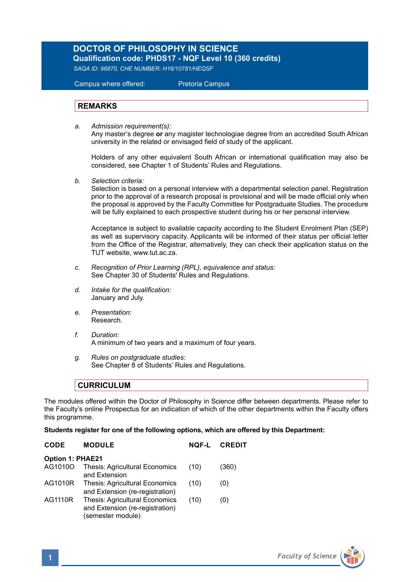## **DOCTOR OF PHILOSOPHY IN SCIENCE**

**Qualification code: PHDS17 - NQF Level 10 (360 credits)** *SAQA ID: 96870, CHE NUMBER: H16/10781/HEQSF*

Campus where offered: Pretoria Campus

## **REMARKS**

*a. Admission requirement(s):* 

 Any master's degree **or** any magister technologiae degree from an accredited South African university in the related or envisaged field of study of the applicant.

Holders of any other equivalent South African or international qualification may also be considered, see Chapter 1 of Students' Rules and Regulations.

*b. Selection criteria:*

Selection is based on a personal interview with a departmental selection panel. Registration prior to the approval of a research proposal is provisional and will be made official only when the proposal is approved by the Faculty Committee for Postgraduate Studies. The procedure will be fully explained to each prospective student during his or her personal interview.

Acceptance is subject to available capacity according to the Student Enrolment Plan (SEP) as well as supervisory capacity. Applicants will be informed of their status per official letter from the Office of the Registrar, alternatively, they can check their application status on the TUT website, www.tut.ac.za.

- *c. Recognition of Prior Learning (RPL), equivalence and status:* See Chapter 30 of Students' Rules and Regulations.
- *d. Intake for the qualification:* January and July.
- *e. Presentation:*  Research.
- *f. Duration:* A minimum of two years and a maximum of four years.
- *g. Rules on postgraduate studies:* See Chapter 8 of Students' Rules and Regulations.

## **CURRICULUM**

The modules offered within the Doctor of Philosophy in Science differ between departments. Please refer to the Faculty's online Prospectus for an indication of which of the other departments within the Faculty offers this programme.

**Students register for one of the following options, which are offered by this Department:**

| <b>CODE</b>             | <b>MODULE</b>                                                                                 | <b>NOF-L</b> | <b>CREDIT</b> |  |  |
|-------------------------|-----------------------------------------------------------------------------------------------|--------------|---------------|--|--|
| <b>Option 1: PHAE21</b> |                                                                                               |              |               |  |  |
| AG1010O                 | <b>Thesis: Agricultural Economics</b><br>and Extension                                        | (10)         | (360)         |  |  |
| AG1010R                 | <b>Thesis: Agricultural Economics</b><br>and Extension (re-registration)                      | (10)         | (0)           |  |  |
| AG1110R                 | <b>Thesis: Agricultural Economics</b><br>and Extension (re-registration)<br>(semester module) | (10)         | (0)           |  |  |